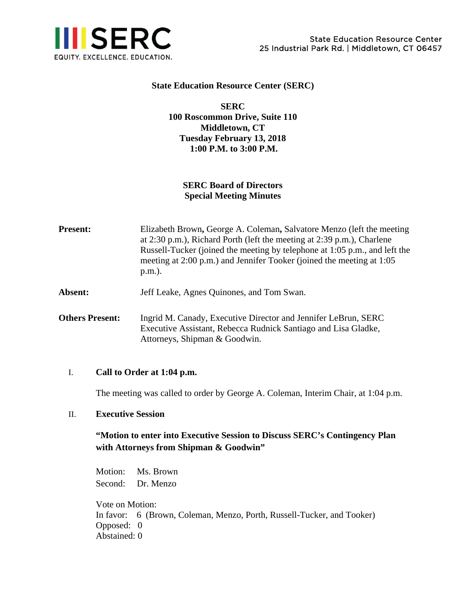

### **State Education Resource Center (SERC)**

**SERC 100 Roscommon Drive, Suite 110 Middletown, CT Tuesday February 13, 2018 1:00 P.M. to 3:00 P.M.** 

## **SERC Board of Directors Special Meeting Minutes**

**Present:** Elizabeth Brown, George A. Coleman, Salvatore Menzo (left the meeting at 2:30 p.m.), Richard Porth (left the meeting at 2:39 p.m.), Charlene Russell-Tucker (joined the meeting by telephone at 1:05 p.m., and left the meeting at 2:00 p.m.) and Jennifer Tooker (joined the meeting at 1:05 p.m.).

**Absent:** Jeff Leake, Agnes Quinones, and Tom Swan.

**Others Present:** Ingrid M. Canady, Executive Director and Jennifer LeBrun, SERC Executive Assistant, Rebecca Rudnick Santiago and Lisa Gladke, Attorneys, Shipman & Goodwin.

#### I. **Call to Order at 1:04 p.m.**

The meeting was called to order by George A. Coleman, Interim Chair, at 1:04 p.m.

#### II. **Executive Session**

# **"Motion to enter into Executive Session to Discuss SERC's Contingency Plan with Attorneys from Shipman & Goodwin"**

Motion: Ms. Brown Second: Dr. Menzo

Vote on Motion: In favor: 6 (Brown, Coleman, Menzo, Porth, Russell-Tucker, and Tooker) Opposed: 0 Abstained: 0